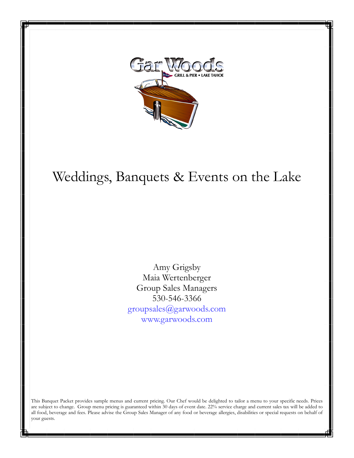

# $W_{\alpha}$ ddings, Banguets & Events on the Lake Weddings, Banquets & Events on the Lake

Amy Grigsby Amy Grigsby Maia Wertenberger Group Sales Managers  $530 - 546 - 3366$ www.garwoods.com groupsales@garwoods.com www.garwoods.com

are subject to change. Group menu pricing is guaranteed within 30 days of event date. 22% service charge and current sales tax will be added to all food, beverage and fees. Please advise the Group Sales Manager of any food or beverage allergies, disabilities or special requests on behalf of  $\frac{1}{2}$  vour guests. This Banquet Packet provides sample menus and current pricing. Our Chef would be delighted to tailor a menu to your specific needs. Prices your guests.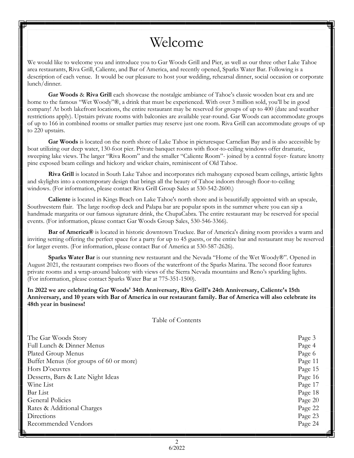# Welcome

We would like to welcome you and introduce you to Gar Woods Grill and Pier, as well as our three other Lake Tahoe area restaurants, Riva Grill, Caliente, and Bar of America, and recently opened, Sparks Water Bar. Following is a description of each venue. It would be our pleasure to host your wedding, rehearsal dinner, social occasion or corporate lunch/dinner.

**Gar Woods** & **Riva Grill** each showcase the nostalgic ambiance of Tahoe's classic wooden boat era and are home to the famous "Wet Woody"®, a drink that must be experienced. With over 3 million sold, you'll be in good company! At both lakefront locations, the entire restaurant may be reserved for groups of up to 400 (date and weather restrictions apply). Upstairs private rooms with balconies are available year-round. Gar Woods can accommodate groups of up to 166 in combined rooms or smaller parties may reserve just one room. Riva Grill can accommodate groups of up to 220 upstairs.

**Gar Woods** is located on the north shore of Lake Tahoe in picturesque Carnelian Bay and is also accessible by boat utilizing our deep water, 130-foot pier. Private banquet rooms with floor-to-ceiling windows offer dramatic, sweeping lake views. The larger "Riva Room" and the smaller "Caliente Room"- joined by a central foyer- feature knotty pine exposed beam ceilings and hickory and wicker chairs, reminiscent of Old Tahoe.

**Riva Grill** is located in South Lake Tahoe and incorporates rich mahogany exposed beam ceilings, artistic lights and skylights into a contemporary design that brings all the beauty of Tahoe indoors through floor-to-ceiling windows. (For information, please contact Riva Grill Group Sales at 530-542-2600.)

**Caliente** is located in Kings Beach on Lake Tahoe's north shore and is beautifully appointed with an upscale, Southwestern flair. The large rooftop deck and Palapa bar are popular spots in the summer where you can sip a handmade margarita or our famous signature drink, the ChupaCabra. The entire restaurant may be reserved for special events. (For information, please contact Gar Woods Group Sales, 530-546-3366).

**Bar of America®** is located in historic downtown Truckee. Bar of America's dining room provides a warm and inviting setting offering the perfect space for a party for up to 45 guests, or the entire bar and restaurant may be reserved for larger events. (For information, please contact Bar of America at 530-587-2626).

**Sparks Water Bar** is our stunning new restaurant and the Nevada "Home of the Wet Woody®". Opened in August 2021, the restaurant comprises two floors of the waterfront of the Sparks Marina. The second floor features private rooms and a wrap-around balcony with views of the Sierra Nevada mountains and Reno's sparkling lights. (For information, please contact Sparks Water Bar at 775-351-1500).

**In 2022 we are celebrating Gar Woods' 34th Anniversary, Riva Grill's 24th Anniversary, Caliente's 15th Anniversary, and 10 years with Bar of America in our restaurant family. Bar of America will also celebrate its 48th year in business!** 

Table of Contents

| The Gar Woods Story                     | Page 3  |
|-----------------------------------------|---------|
| Full Lunch & Dinner Menus               | Page 4  |
| Plated Group Menus                      | Page 6  |
| Buffet Menus (for groups of 60 or more) | Page 11 |
| Hors D'oeuvres                          | Page 15 |
| Desserts, Bars & Late Night Ideas       | Page 16 |
| Wine List                               | Page 17 |
| Bar List                                | Page 18 |
| <b>General Policies</b>                 | Page 20 |
| Rates & Additional Charges              | Page 22 |
| Directions                              | Page 23 |
| Recommended Vendors                     | Page 24 |
|                                         |         |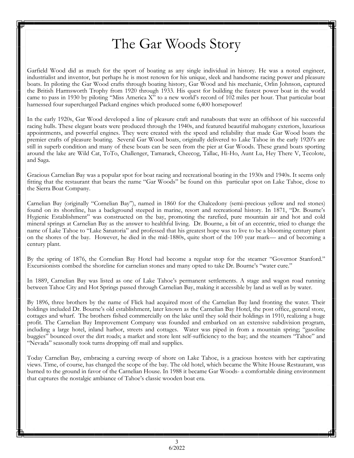# The Gar Woods Story

Garfield Wood did as much for the sport of boating as any single individual in history. He was a noted engineer, industrialist and inventor, but perhaps he is most renown for his unique, sleek and handsome racing power and pleasure boats. In piloting the Gar Wood crafts through boating history, Gar Wood and his mechanic, Orlin Johnson, captured the British Harmsworth Trophy from 1920 through 1933. His quest for building the fastest power boat in the world came to pass in 1930 by piloting "Miss America X" to a new world's record of 102 miles per hour. That particular boat harnessed four supercharged Packard engines which produced some 6,400 horsepower!

In the early 1920s, Gar Wood developed a line of pleasure craft and runabouts that were an offshoot of his successful racing hulls. These elegant boats were produced through the 1940s, and featured beautiful mahogany exteriors, luxurious appointments, and powerful engines. They were created with the speed and reliability that made Gar Wood boats the premier crafts of pleasure boating. Several Gar Wood boats, originally delivered to Lake Tahoe in the early 1920's are still in superb condition and many of these boats can be seen from the pier at Gar Woods. These grand boats sporting around the lake are Wild Cat, ToTo, Challenger, Tamarack, Cheecog, Tallac, Hi-Ho, Aunt Lu, Hey There V, Tecolote, and Saga.

Gracious Carnelian Bay was a popular spot for boat racing and recreational boating in the 1930s and 1940s. It seems only fitting that the restaurant that bears the name "Gar Woods" be found on this particular spot on Lake Tahoe, close to the Sierra Boat Company.

Carnelian Bay (originally "Cornelian Bay"), named in 1860 for the Chalcedony (semi-precious yellow and red stones) found on its shoreline, has a background steeped in marine, resort and recreational history. In 1871, "Dr. Bourne's Hygienic Establishment" was constructed on the bay, promoting the rarefied, pure mountain air and hot and cold mineral springs at Carnelian Bay as the answer to healthful living. Dr. Bourne, a bit of an eccentric, tried to change the name of Lake Tahoe to "Lake Sanatoria" and professed that his greatest hope was to live to be a blooming century plant on the shores of the bay. However, he died in the mid-1880s, quite short of the 100 year mark— and of becoming a century plant.

By the spring of 1876, the Cornelian Bay Hotel had become a regular stop for the steamer "Governor Stanford." Excursionists combed the shoreline for carnelian stones and many opted to take Dr. Bourne's "water cure."

In 1889, Carnelian Bay was listed as one of Lake Tahoe's permanent settlements. A stage and wagon road running between Tahoe City and Hot Springs passed through Carnelian Bay, making it accessible by land as well as by water.

By 1896, three brothers by the name of Flick had acquired most of the Carnelian Bay land fronting the water. Their holdings included Dr. Bourne's old establishment, later known as the Carnelian Bay Hotel, the post office, general store, cottages and wharf. The brothers fished commercially on the lake until they sold their holdings in 1910, realizing a huge profit. The Carnelian Bay Improvement Company was founded and embarked on an extensive subdivision program, including a large hotel, inland harbor, streets and cottages. Water was piped in from a mountain spring; "gasoline buggies" bounced over the dirt roads; a market and store lent self-sufficiency to the bay; and the steamers "Tahoe" and "Nevada" seasonally took turns dropping off mail and supplies.

Today Carnelian Bay, embracing a curving sweep of shore on Lake Tahoe, is a gracious hostess with her captivating views. Time, of course, has changed the scope of the bay. The old hotel, which became the White House Restaurant, was burned to the ground in favor of the Carnelian House. In 1988 it became Gar Woods- a comfortable dining environment that captures the nostalgic ambiance of Tahoe's classic wooden boat era.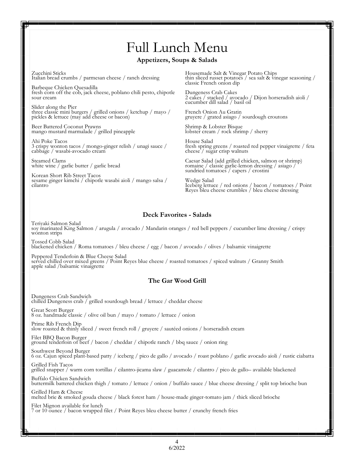# Full Lunch Menu

#### **Appetizers, Soups & Salads**

Zucchini Sticks Italian bread crumbs / parmesan cheese / ranch dressing

Barbeque Chicken Quesadilla fresh corn off the cob, jack cheese, poblano chili pesto, chipotle sour cream

Slider along the Pier three classic mini burgers / grilled onions / ketchup / mayo / pickles & lettuce (may add cheese or bacon)

Beer Battered Coconut Prawns mango mustard marmalade / grilled pineapple

Ahi Poke Tacos 3 crispy wonton tacos / mongo-ginger relish / unagi sauce / cabbage / wasabi-avocado cream

Steamed Clams white wine / garlic butter / garlic bread

Korean Short Rib Street Tacos sesame ginger kimchi / chipotle wasabi aioli / mango salsa / cilantro

Housemade Salt & Vinegar Potato Chips thin sliced russet potatoes / sea salt & vinegar seasoning / classic French onion dip

Dungeness Crab Cakes 2 cakes / stacked / avocado / Dijon horseradish aioli / cucumber dill salad / basil oil

French Onion Au Gratin gruyere / grated asiago / sourdough croutons

Shrimp & Lobster Bisque lobster cream / rock shrimp / sherry

House Salad fresh spring greens / roasted red pepper vinaigrette / feta cheese / sugar crisp walnuts

Caesar Salad (add grilled chicken, salmon or shrimp) romaine / classic garlic-lemon dressing / asiago / sundried tomatoes / capers / crostini

Wedge Salad Iceberg lettuce / red onions / bacon / tomatoes / Point Reyes bleu cheese crumbles / bleu cheese dressing

#### **Deck Favorites - Salads**

Teriyaki Salmon Salad soy marinated King Salmon / arugula / avocado / Mandarin oranges / red bell peppers / cucumber lime dressing / crispy wonton strips

Tossed Cobb Salad blackened chicken / Roma tomatoes / bleu cheese / egg / bacon / avocado / olives / balsamic vinaigrette

Peppered Tenderloin & Blue Cheese Salad served chilled over mixed greens / Point Reyes blue cheese / roasted tomatoes / spiced walnuts / Granny Smith apple salad /balsamic vinaigrette

#### **The Gar Wood Grill**

Dungeness Crab Sandwich chilled Dungeness crab / grilled sourdough bread / lettuce / cheddar cheese

Great Scott Burger 8 oz. handmade classic / olive oil bun / mayo / tomato / lettuce / onion

Prime Rib French Dip slow roasted & thinly sliced / sweet french roll / gruyere / sautéed onions / horseradish cream

Filet BBQ Bacon Burger ground tenderloin of beef / bacon / cheddar / chipotle ranch / bbq sauce / onion ring

Southwest Beyond Burger 6 oz. Cajun spiced plant-based patty / iceberg / pico de gallo / avocado / roast poblano / garlic avocado aioli / rustic ciabatta

Grilled Fish Tacos grilled snapper / warm corn tortillas / cilantro-jicama slaw / guacamole / cilantro / pico de gallo– available blackened

Buffalo Chicken Sandwich buttermilk battered chicken thigh / tomato / lettuce / onion / buffalo sauce / blue cheese dressing / split top brioche bun

Grilled Ham & Cheese melted brie & smoked gouda cheese / black forest ham / house-made ginger-tomato jam / thick sliced brioche

Filet Mignon available for lunch 7 or 10 ounce / bacon wrapped filet / Point Reyes bleu cheese butter / crunchy french fries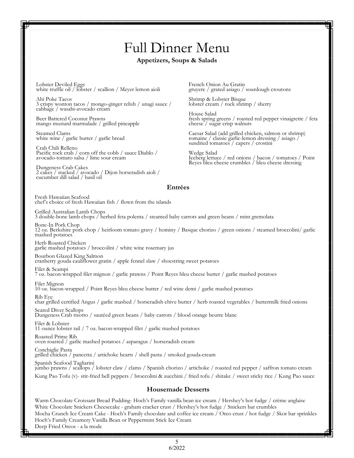# Full Dinner Menu

#### **Appetizers, Soups & Salads**

Lobster Deviled Eggs white truffle oil / lobster / scallion / Meyer lemon aioli

Ahi Poke Tacos 3 crispy wonton tacos / mongo-ginger relish / unagi sauce / cabbage / wasabi-avocado cream

Beer Battered Coconut Prawns mango mustard marmalade / grilled pineapple

Steamed Clams white wine / garlic butter / garlic bread

Crab Chili Relleno Pacific rock crab / corn off the cobb / sauce Diablo / avocado-tomato salsa / lime sour cream

Dungeness Crab Cakes 2 cakes / stacked / avocado / Dijon horseradish aioli / cucumber dill salad / basil oil

French Onion Au Gratin gruyere / grated asiago / sourdough croutons

Shrimp & Lobster Bisque lobster cream / rock shrimp / sherry

House Salad fresh spring greens / roasted red pepper vinaigrette / feta cheese / sugar crisp walnuts

Caesar Salad (add grilled chicken, salmon or shrimp) romaine / classic garlic-lemon dressing / asiago / sundried tomatoes / capers / crostini

Wedge Salad Iceberg lettuce / red onions / bacon / tomatoes / Point Reyes bleu cheese crumbles / bleu cheese dressing

#### **Entrées**

Fresh Hawaiian Seafood chef's choice of fresh Hawaiian fish / flown from the islands

Grilled Australian Lamb Chops 3 double-bone lamb chops / herbed feta polenta / steamed baby carrots and green beans / mint gremolata

Bone-In Pork Chop 12 oz. Berkshire pork chop / heirloom tomato gravy / hominy / Basque chorizo / green onions / steamed broccolini/ garlic mashed potatoes

Herb Roasted Chicken garlic mashed potatoes / broccolini / white wine rosemary jus

Bourbon Glazed King Salmon cranberry gouda cauliflower gratin / apple fennel slaw / shoestring sweet potatoes

Filet & Scampi 7 oz. bacon-wrapped filet mignon / garlic prawns / Point Reyes bleu cheese butter / garlic mashed potatoes

Filet Mignon 10 oz. bacon-wrapped / Point Reyes bleu cheese butter / red wine demi / garlic mashed potatoes Rib Eye char grilled certified Angus / garlic mashed / horseradish chive butter / herb roasted vegetables / buttermilk fried onions

Seared Diver Scallops

Dungeness Crab risotto / sautéed green beans / baby carrots / blood orange beurre blanc

Filet & Lobster 11 ounce lobster tail / 7 oz. bacon-wrapped filet / garlic mashed potatoes

Roasted Prime Rib oven roasted / garlic mashed potatoes / asparagus / horseradish cream

Conchiglie Pasta grilled chicken / pancetta / artichoke hearts / shell pasta / smoked gouda-cream Spanish Seafood Tagliarini

jumbo prawns / scallops / lobster claw / clams / Spanish chorizo / artichoke / roasted red pepper / saffron tomato cream

Kung Pao Tofu (v)- stir-fried bell peppers / broccolini & zucchini / fried tofu / shitake / sweet sticky rice / Kung Pao sauce

#### **Housemade Desserts**

Warm Chocolate Croissant Bread Pudding- Hoch's Family vanilla bean ice cream / Hershey's hot fudge / crème anglaise White Chocolate Snickers Cheesecake - graham cracker crust / Hershey's hot fudge / Snickers bar crumbles Mocha Crunch Ice Cream Cake - Hoch's Family chocolate and coffee ice cream / Oreo crust / hot fudge / Skor bar sprinkles Hoch's Family Creamery Vanilla Bean or Peppermint Stick Ice Cream Deep Fried Oreos - a la mode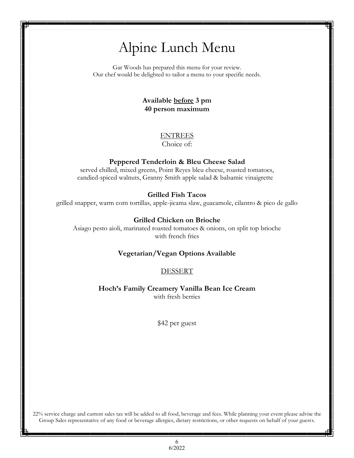# Alpine Lunch Menu

Gar Woods has prepared this menu for your review. Our chef would be delighted to tailor a menu to your specific needs.

### **Available before 3 pm 40 person maximum**

# ENTREES

Choice of:

### **Peppered Tenderloin & Bleu Cheese Salad**

served chilled, mixed greens, Point Reyes bleu cheese, roasted tomatoes, candied-spiced walnuts, Granny Smith apple salad & balsamic vinaigrette

### **Grilled Fish Tacos**

grilled snapper, warm corn tortillas, apple-jicama slaw, guacamole, cilantro & pico de gallo

#### **Grilled Chicken on Brioche**

Asiago pesto aioli, marinated roasted tomatoes & onions, on split top brioche with french fries

#### **Vegetarian/Vegan Options Available**

#### DESSERT

**Hoch's Family Creamery Vanilla Bean Ice Cream**  with fresh berries

\$42 per guest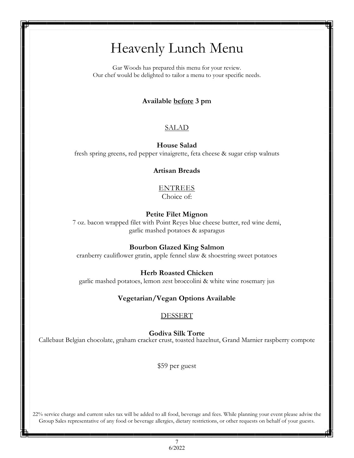# Heavenly Lunch Menu

Gar Woods has prepared this menu for your review. Our chef would be delighted to tailor a menu to your specific needs.

### **Available before 3 pm**

### SALAD

**House Salad**

fresh spring greens, red pepper vinaigrette, feta cheese & sugar crisp walnuts

#### **Artisan Breads**

#### ENTREES Choice of:

#### **Petite Filet Mignon**

7 oz. bacon wrapped filet with Point Reyes blue cheese butter, red wine demi, garlic mashed potatoes & asparagus

#### **Bourbon Glazed King Salmon**

cranberry cauliflower gratin, apple fennel slaw & shoestring sweet potatoes

#### **Herb Roasted Chicken**

garlic mashed potatoes, lemon zest broccolini & white wine rosemary jus

#### **Vegetarian/Vegan Options Available**

#### DESSERT

**Godiva Silk Torte**

Callebaut Belgian chocolate, graham cracker crust, toasted hazelnut, Grand Marnier raspberry compote

\$59 per guest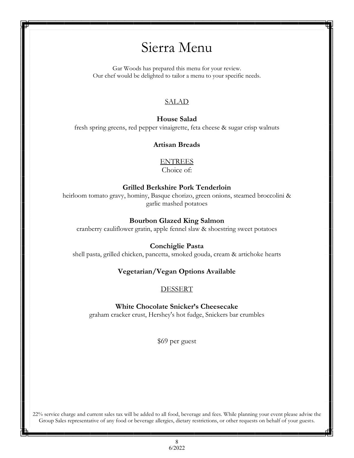# Sierra Menu

Gar Woods has prepared this menu for your review. Our chef would be delighted to tailor a menu to your specific needs.

### SALAD

# **House Salad** fresh spring greens, red pepper vinaigrette, feta cheese & sugar crisp walnuts

### **Artisan Breads**

ENTREES Choice of:

### **Grilled Berkshire Pork Tenderloin**

heirloom tomato gravy, hominy, Basque chorizo, green onions, steamed broccolini & garlic mashed potatoes

### **Bourbon Glazed King Salmon**

cranberry cauliflower gratin, apple fennel slaw & shoestring sweet potatoes

#### **Conchiglie Pasta**

shell pasta, grilled chicken, pancetta, smoked gouda, cream & artichoke hearts

### **Vegetarian/Vegan Options Available**

**DESSERT** 

#### **White Chocolate Snicker's Cheesecake**

graham cracker crust, Hershey's hot fudge, Snickers bar crumbles

\$69 per guest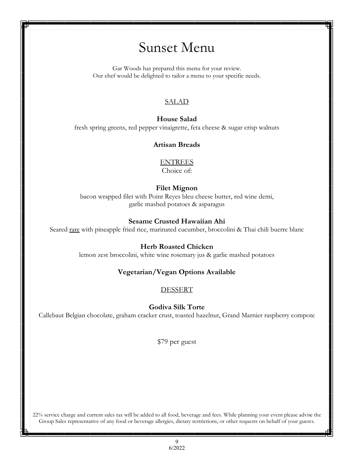# Sunset Menu

Gar Woods has prepared this menu for your review. Our chef would be delighted to tailor a menu to your specific needs.

# SALAD

# **House Salad** fresh spring greens, red pepper vinaigrette, feta cheese & sugar crisp walnuts

### **Artisan Breads**

ENTREES Choice of:

### **Filet Mignon**

bacon wrapped filet with Point Reyes bleu cheese butter, red wine demi, garlic mashed potatoes & asparagus

### **Sesame Crusted Hawaiian Ahi**

Seared rare with pineapple fried rice, marinated cucumber, broccolini & Thai chili buerre blanc

### **Herb Roasted Chicken**

lemon zest broccolini, white wine rosemary jus & garlic mashed potatoes

### **Vegetarian/Vegan Options Available**

DESSERT

**Godiva Silk Torte**

Callebaut Belgian chocolate, graham cracker crust, toasted hazelnut, Grand Marnier raspberry compote

\$79 per guest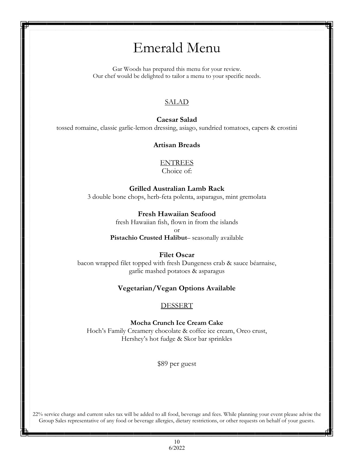# Emerald Menu

Gar Woods has prepared this menu for your review. Our chef would be delighted to tailor a menu to your specific needs.

### SALAD

### **Caesar Salad**

tossed romaine, classic garlic-lemon dressing, asiago, sundried tomatoes, capers & crostini

#### **Artisan Breads**

# ENTREES

Choice of:

# **Grilled Australian Lamb Rack**

3 double bone chops, herb-feta polenta, asparagus, mint gremolata

#### **Fresh Hawaiian Seafood**

fresh Hawaiian fish, flown in from the islands

or

**Pistachio Crusted Halibut**– seasonally available

#### **Filet Oscar**

bacon wrapped filet topped with fresh Dungeness crab & sauce béarnaise, garlic mashed potatoes & asparagus

#### **Vegetarian/Vegan Options Available**

#### DESSERT

**Mocha Crunch Ice Cream Cake** Hoch's Family Creamery chocolate & coffee ice cream, Oreo crust, Hershey's hot fudge & Skor bar sprinkles

\$89 per guest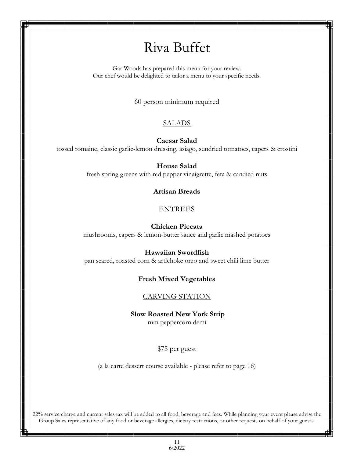# Riva Buffet

Gar Woods has prepared this menu for your review. Our chef would be delighted to tailor a menu to your specific needs.

60 person minimum required

### **SALADS**

**Caesar Salad**

tossed romaine, classic garlic-lemon dressing, asiago, sundried tomatoes, capers & crostini

#### **House Salad**

fresh spring greens with red pepper vinaigrette, feta & candied nuts

#### **Artisan Breads**

### ENTREES

#### **Chicken Piccata**

mushrooms, capers & lemon-butter sauce and garlic mashed potatoes

#### **Hawaiian Swordfish**

pan seared, roasted corn & artichoke orzo and sweet chili lime butter

#### **Fresh Mixed Vegetables**

#### CARVING STATION

**Slow Roasted New York Strip** rum peppercorn demi

\$75 per guest

(a la carte dessert course available - please refer to page 16)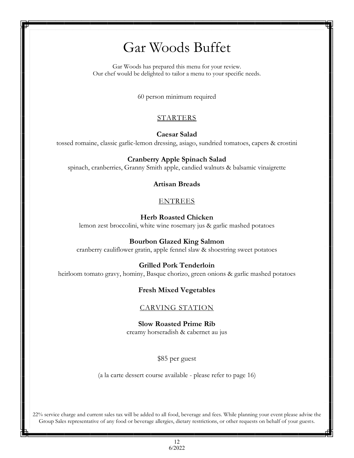# Gar Woods Buffet

Gar Woods has prepared this menu for your review. Our chef would be delighted to tailor a menu to your specific needs.

60 person minimum required

# STARTERS

**Caesar Salad**

tossed romaine, classic garlic-lemon dressing, asiago, sundried tomatoes, capers & crostini

#### **Cranberry Apple Spinach Salad**

spinach, cranberries, Granny Smith apple, candied walnuts & balsamic vinaigrette

#### **Artisan Breads**

### ENTREES

#### **Herb Roasted Chicken**

lemon zest broccolini, white wine rosemary jus & garlic mashed potatoes

#### **Bourbon Glazed King Salmon**

cranberry cauliflower gratin, apple fennel slaw & shoestring sweet potatoes

#### **Grilled Pork Tenderloin**

heirloom tomato gravy, hominy, Basque chorizo, green onions & garlic mashed potatoes

#### **Fresh Mixed Vegetables**

### CARVING STATION

**Slow Roasted Prime Rib**  creamy horseradish & cabernet au jus

#### \$85 per guest

(a la carte dessert course available - please refer to page 16)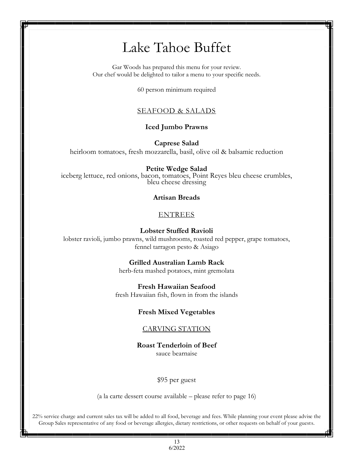# Lake Tahoe Buffet

Gar Woods has prepared this menu for your review. Our chef would be delighted to tailor a menu to your specific needs.

60 person minimum required

#### SEAFOOD & SALADS

#### **Iced Jumbo Prawns**

**Caprese Salad**  heirloom tomatoes, fresh mozzarella, basil, olive oil & balsamic reduction

#### **Petite Wedge Salad**

iceberg lettuce, red onions, bacon, tomatoes, Point Reyes bleu cheese crumbles, bleu cheese dressing

#### **Artisan Breads**

#### ENTREES

#### **Lobster Stuffed Ravioli**

lobster ravioli, jumbo prawns, wild mushrooms, roasted red pepper, grape tomatoes, fennel tarragon pesto & Asiago

#### **Grilled Australian Lamb Rack**

herb-feta mashed potatoes, mint gremolata

#### **Fresh Hawaiian Seafood**

fresh Hawaiian fish, flown in from the islands

#### **Fresh Mixed Vegetables**

#### CARVING STATION

### **Roast Tenderloin of Beef**

sauce bearnaise

#### \$95 per guest

(a la carte dessert course available – please refer to page 16)

22% service charge and current sales tax will be added to all food, beverage and fees. While planning your event please advise the Group Sales representative of any food or beverage allergies, dietary restrictions, or other requests on behalf of your guests.

> 13 6/2022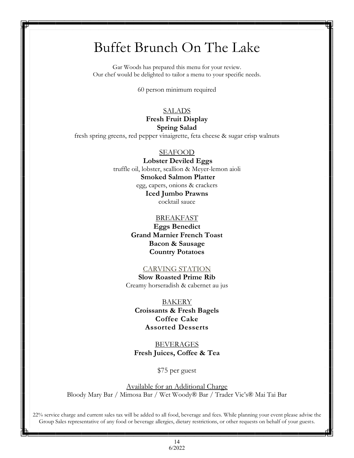# Buffet Brunch On The Lake

*Riva Grill* Gar Woods has prepared this menu for your review. Our chef would be delighted to tailor a menu to your specific needs.

*Buffet #3* 60 person minimum required

# *Appetizers*  **Spring Salad** SALADS **Fresh Fruit Display**

*Tequila Smoked Salmon* fresh spring greens, red pepper vinaigrette, feta cheese & sugar crisp walnuts

# *Alaskan King Crab Legs* SEAFOOD

 **Lobster Deviled Eggs** *Salads & Pasta* truffle oil, lobster, scallion & Meyer-lemon aioli *Tossed Caesar Salad* egg, capers, onions & crackers *Penne Pasta, Artichoke and Tomato Salad* **Iced Jumbo Prawns** *Fresh Spring Greens with Honey-Tarragon Vinaigrette & Candied Pe-***Smoked Salmon Platter** cocktail sauce

# **BREAKFAST**

1 Marnier French<br>Bacon & Sausage *Grilled Filet of Salmon* **Country Potatoes Eggs Benedict Grand Marnier French Toast**

# *mango beurre blanc & basmati rice* CARVING STATION

 $S$ low Roasted Prime Rib *mint jus & garlic mashed potatoes* Creamy horseradish & cabernet au jus

**BAKERY** *<u>Croissants & Fresh Bagels</u> Assorted Fresh Mixed Vegetables* **Coffee Cake Assorted Desserts**

**BEVERAGES** *Slow Roasted Prime Rib &Honey Baked Ham* **Fresh Juices, Coffee & Tea**

*creamy horseradish & cabernet au jus* \$75 per guest

Available for an Additional Charge Bloody Mary Bar / Mimosa Bar / Wet Woody® Bar / Trader Vic's® Mai Tai Bar

*\$ 47.90 Per Person* 22% service charge and current sales tax will be added to all food, beverage and fees. While planning your event please advise the Group Sales representative of any food or beverage allergies, dietary restrictions, or other requests on behalf of your guests.

> 14 6/2022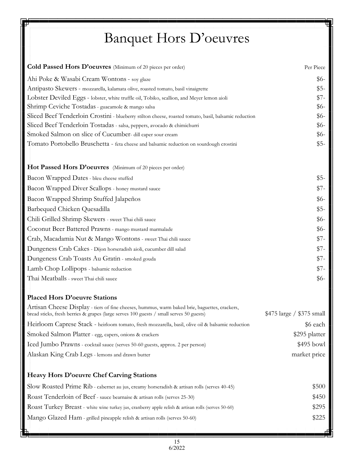# Banquet Hors D'oeuvres

| Cold Passed Hors D'oeuvres (Minimum of 20 pieces per order)                                                                                                                              | Per Piece                 |
|------------------------------------------------------------------------------------------------------------------------------------------------------------------------------------------|---------------------------|
| Ahi Poke & Wasabi Cream Wontons - soy glaze                                                                                                                                              | $$6-$                     |
| Antipasto Skewers - mozzarella, kalamata olive, roasted tomato, basil vinaigrette                                                                                                        | $$5-$                     |
| Lobster Deviled Eggs - lobster, white truffle oil, Tobiko, scallion, and Meyer lemon aioli                                                                                               | $$7-$                     |
| Shrimp Ceviche Tostadas - guacamole & mango salsa                                                                                                                                        | $$6-$                     |
| Sliced Beef Tenderloin Crostini - blueberry stilton cheese, roasted tomato, basil, balsamic reduction                                                                                    | $$6-$                     |
| Sliced Beef Tenderloin Tostadas - salsa, peppers, avocado & chimichurri                                                                                                                  | $$6-$                     |
| Smoked Salmon on slice of Cucumber- dill caper sour cream                                                                                                                                | $$6-$                     |
| Tomato Portobello Bruschetta - feta cheese and balsamic reduction on sourdough crostini                                                                                                  | $$5-$                     |
| Hot Passed Hors D'oeuvres (Minimum of 20 pieces per order)                                                                                                                               |                           |
| Bacon Wrapped Dates - bleu cheese stuffed                                                                                                                                                | $$5-$                     |
| Bacon Wrapped Diver Scallops - honey mustard sauce                                                                                                                                       | \$7-                      |
| Bacon Wrapped Shrimp Stuffed Jalapeños                                                                                                                                                   | $$6-$                     |
| Barbequed Chicken Quesadilla                                                                                                                                                             | $$5-$                     |
| Chili Grilled Shrimp Skewers - sweet Thai chili sauce                                                                                                                                    | $$6-$                     |
| Coconut Beer Battered Prawns - mango mustard marmalade                                                                                                                                   | $$6-$                     |
| Crab, Macadamia Nut & Mango Wontons - sweet Thai chili sauce                                                                                                                             | \$7-                      |
| Dungeness Crab Cakes - Dijon horseradish aioli, cucumber dill salad                                                                                                                      | $$7-$                     |
| Dungeness Crab Toasts Au Gratin - smoked gouda                                                                                                                                           | \$7-                      |
| Lamb Chop Lollipops - balsamic reduction                                                                                                                                                 | $$7-$                     |
| Thai Meatballs - sweet Thai chili sauce                                                                                                                                                  | $$6-$                     |
| <b>Placed Hors D'oeuvre Stations</b>                                                                                                                                                     |                           |
| Artisan Cheese Display - tiers of fine cheeses, hummus, warm baked brie, baguettes, crackers,<br>bread sticks, fresh berries & grapes (large serves 100 guests / small serves 50 guests) | \$475 large / \$375 small |
| Heirloom Caprese Stack - heirloom tomato, fresh mozzarella, basil, olive oil & balsamic reduction                                                                                        | \$6 each                  |
| Smoked Salmon Platter - egg, capers, onions & crackers                                                                                                                                   | \$295 platter             |
| Iced Jumbo Prawns - cocktail sauce (serves 50-60 guests, approx. 2 per person)                                                                                                           | $$495$ bowl               |
| Alaskan King Crab Legs - lemons and drawn butter                                                                                                                                         | market price              |
| Heavy Hors D'oeuvre Chef Carving Stations                                                                                                                                                |                           |
| Slow Roasted Prime Rib - cabernet au jus, creamy horseradish & artisan rolls (serves 40-45)                                                                                              | \$500                     |
| Roast Tenderloin of Beef - sauce bearnaise & artisan rolls (serves 25-30)                                                                                                                | \$450                     |
| Roast Turkey Breast - white wine turkey jus, cranberry apple relish & artisan rolls (serves 50-60)                                                                                       | \$295                     |
| Mango Glazed Ham - grilled pineapple relish & artisan rolls (serves 50-60)                                                                                                               | \$225                     |
|                                                                                                                                                                                          |                           |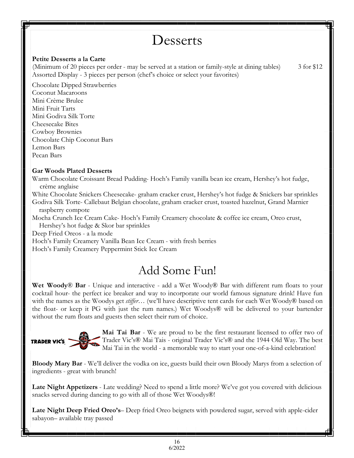**Desserts** 

(Minimum of 20 pieces per order - may be served at a station or family-style at dining tables)3 for \$12

Coconut Macaroons Mini Crème Brulee Mini Fruit Tarts Mini Godiva Silk Torte Cheesecake Bites Cowboy Brownies Chocolate Chip Coconut Bars Lemon Bars Pecan Bars

Chocolate Dipped Strawberries

**Petite Desserts a la Carte** 

### **Gar Woods Plated Desserts**

Warm Chocolate Croissant Bread Pudding- Hoch's Family vanilla bean ice cream, Hershey's hot fudge, crème anglaise

White Chocolate Snickers Cheesecake- graham cracker crust, Hershey's hot fudge & Snickers bar sprinkles Godiva Silk Torte- Callebaut Belgian chocolate, graham cracker crust, toasted hazelnut, Grand Marnier raspberry compote

Mocha Crunch Ice Cream Cake- Hoch's Family Creamery chocolate & coffee ice cream, Oreo crust, Hershey's hot fudge & Skor bar sprinkles

Deep Fried Oreos - a la mode

Hoch's Family Creamery Vanilla Bean Ice Cream - with fresh berries

Assorted Display - 3 pieces per person (chef's choice or select your favorites)

Hoch's Family Creamery Peppermint Stick Ice Cream

# Add Some Fun!

**Wet Woody**® **Bar** - Unique and interactive - add a Wet Woody® Bar with different rum floats to your cocktail hour- the perfect ice breaker and way to incorporate our world famous signature drink! Have fun with the names as the Woodys get *stiffer*… (we'll have descriptive tent cards for each Wet Woody® based on the float- or keep it PG with just the rum names.) Wet Woodys® will be delivered to your bartender without the rum floats and guests then select their rum of choice.



**Mai Tai Bar** - We are proud to be the first restaurant licensed to offer two of Trader Vic's® Mai Tais - original Trader Vic's® and the 1944 Old Way. The best Mai Tai in the world - a memorable way to start your one-of-a-kind celebration!

**Bloody Mary Bar** - We'll deliver the vodka on ice, guests build their own Bloody Marys from a selection of ingredients - great with brunch!

**Late Night Appetizers** - Late wedding? Need to spend a little more? We've got you covered with delicious snacks served during dancing to go with all of those Wet Woodys®!

**Late Night Deep Fried Oreo's**– Deep fried Oreo beignets with powdered sugar, served with apple-cider sabayon– available tray passed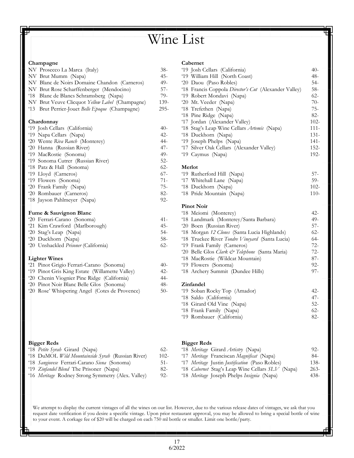# Wine List

#### **Champagne**

| NV Prosecco La Marca (Italy)                    | 38-    |
|-------------------------------------------------|--------|
| NV Brut Mumm (Napa)                             | 45-    |
| NV Blanc de Noirs Domaine Chandon (Carneros)    | 49-    |
| NV Brut Rose Scharffenberger (Mendocino)        | $57-$  |
| '18 Blanc de Blancs Schramsberg (Napa)          | 79-    |
| NV Brut Veuve Clicquot Yellow Label (Champagne) | 139-   |
| '13 Brut Perrier-Jouet Belle Epoque (Champagne) | 295-   |
| Chardonnay                                      |        |
| '19 Josh Cellars (California)                   | $40-$  |
| '19 Napa Cellars (Napa)                         | 42-    |
| '20 Wente Riva Ranch (Monterey)                 | 44-    |
| '20 Hanna (Russian River)                       | $47-$  |
| '19 MacRostie (Sonoma)                          | $49-$  |
| '19 Sonoma Cutrer (Russian River)               | $52 -$ |
| '18 Patz & Hall (Sonoma)                        | $62 -$ |
| '19 Lloyd (Carneros)                            | 67-    |
| '19 Flowers (Sonoma)                            | $71 -$ |
| '20 Frank Family (Napa)                         | $75 -$ |
| '20 Rombauer (Carneros)                         | $82 -$ |
| '18 Jayson Pahlmeyer (Napa)                     | $92 -$ |
| Fume & Sauvignon Blanc                          |        |
| '20 Ferrari-Carano (Sonoma)                     | $41 -$ |
| '21 Kim Crawford (Marlborough)                  | 45-    |
| '20 Stag's Leap (Napa)                          | $54-$  |
| '20 Duckhorn (Napa)                             | $58-$  |
| '20 Unshackled Prisoner (California)            | $62 -$ |
| <b>Lighter Wines</b>                            |        |
| '21 Pinot Grigio Ferrari-Carano (Sonoma)        | 40-    |
| '19 Pinot Gris King Estate (Willamette Valley)  | $42 -$ |

|        |  |      |  | '20 Chenin Viognier Pine Ridge (California) |  |  |  |
|--------|--|------|--|---------------------------------------------|--|--|--|
| $\sim$ |  | . ni |  |                                             |  |  |  |

'20 Pinot Noir Blanc Belle Glos (Sonoma) '20 Rose' Whispering Angel (Cotes de Provence)

#### **Bigger Reds**

| '18 <i>Petite Syrah</i> Girard (Napa)              | 62-     |
|----------------------------------------------------|---------|
| '18 DuMOL Wild Mountainside Syrah (Russian River)  | $102 -$ |
| '18 Sangiovese Ferrari-Carano Siena (Sonoma)       | $51 -$  |
| '19 Zinfandel Blend The Prisoner (Napa)            | 82-     |
| '16 Meritage Rodney Strong Symmetry (Alex. Valley) | $92 -$  |
|                                                    |         |

#### **Cabernet**

| '19 Josh Cellars (California)                         | $40-$   |
|-------------------------------------------------------|---------|
| '19 William Hill (North Coast)                        | $48-$   |
| '20 Daou (Paso Robles)                                | $54-$   |
| '18 Francis Coppola Director's Cut (Alexander Valley) | $58-$   |
| '19 Robert Mondavi (Napa)                             | $62 -$  |
| '20 Mt. Veeder (Napa)                                 | $70-$   |
| '18 Trefethen (Napa)                                  | $75-$   |
| '18 Pine Ridge (Napa)                                 | 82-     |
| '17 Jordan (Alexander Valley)                         | $102 -$ |
| '18 Stag's Leap Wine Cellars Artemis (Napa)           | $111 -$ |
| '18 Duckhorn (Napa)                                   | $131 -$ |
| '19 Joseph Phelps (Napa)                              | $141 -$ |
| '17 Silver Oak Cellars (Alexander Valley)             | $152 -$ |
| '19 Caymus (Napa)                                     | 192-    |
| Merlot                                                |         |
| '19 Rutherford Hill (Napa)                            | $57-$   |
| '17 Whitehall Lane (Napa)                             | $59-$   |
| '18 Duckhorn (Napa)                                   | $102 -$ |
| '18 Pride Mountain (Napa)                             | $110-$  |
| <b>Pinot Noir</b>                                     |         |
| '18 Meiomi (Monterey)                                 | 42-     |
| '18 Landmark (Monterey/Santa Barbara)                 | $49-$   |
| (20.5)                                                | E7      |

| '20 Boen (Russian River)                        | 57-    |
|-------------------------------------------------|--------|
| '18 Morgan 12 Clones (Santa Lucia Highlands)    | $62-$  |
| '18 Truckee River Tondre Vineyard (Santa Lucia) | $64-$  |
| '19 Frank Family (Carneros)                     | $72-$  |
| '20 Belle Glos Clark & Telephone (Santa Maria)  | $72-$  |
| '18 MacRostie (Wildcat Mountain)                | $87-$  |
| '19 Flowers (Sonoma)                            | $92 -$ |
| '18 Archery Summit (Dundee Hills)               | $97-$  |

#### **Zinfandel**

44- 48- 50-

| '19 Soban Rocky Top (Amador) | 42.- |
|------------------------------|------|
| '18 Saldo (California)       | 47-  |
| '18 Girard Old Vine (Napa)   | 52-  |
| '18 Frank Family (Napa)      | 62-  |
| '19 Rombauer (California)    | 82-  |
|                              |      |

### **Bigger Reds**

| '18 <i>Meritage</i> Girard <i>Artistry</i> (Napa)        | $92 -$ |
|----------------------------------------------------------|--------|
| '17 Meritage Franciscan Magnificat (Napa)                | 84-    |
| '17 Meritage Justin Justification (Paso Robles)          | 138-   |
| '18 Cabernet Stag's Leap Wine Cellars SLV (Napa)         | $263-$ |
| '18 <i>Meritage</i> Joseph Phelps <i>Insignia</i> (Napa) | 438-   |
|                                                          |        |

We attempt to display the current vintages of all the wines on our list. However, due to the various release dates of vintages, we ask that you request date verification if you desire a specific vintage. Upon prior restaurant approval, you may be allowed to bring a special bottle of wine to your event. A corkage fee of \$20 will be charged on each 750 ml bottle or smaller. Limit one bottle/party.

> 17 6/2022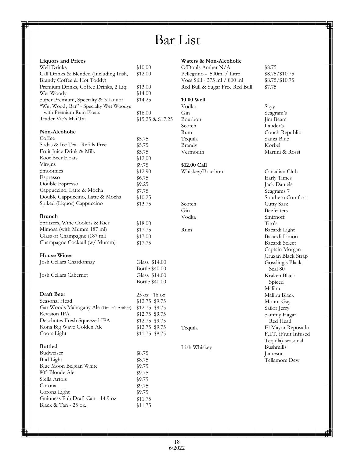# Bar List

| <b>Liquors and Prices</b>                                                     |                    |
|-------------------------------------------------------------------------------|--------------------|
| Well Drinks                                                                   | \$10.00            |
| Call Drinks & Blended (Including Irish,                                       | \$12.00            |
| Brandy Coffee & Hot Toddy)                                                    |                    |
| Premium Drinks, Coffee Drinks, 2 Liq.                                         | \$13.00            |
| Wet Woody                                                                     | \$14.00            |
| Super Premium, Specialty & 3 Liquor<br>"Wet Woody Bar" - Specialty Wet Woodys | \$14.25            |
| with Premium Rum Floats                                                       | \$16.00            |
| Trader Vic's Mai Tai                                                          | \$15.25 & \$17.25  |
| Non-Alcoholic                                                                 |                    |
| Coffee                                                                        | \$5.75             |
| Sodas & Ice Tea - Refills Free                                                | \$5.75             |
| Fruit Juice Drink & Milk                                                      | \$5.75             |
| Root Beer Floats                                                              | \$12.00            |
| Virgins                                                                       | \$9.75             |
| Smoothies                                                                     | \$12.90            |
| Espresso                                                                      | \$6.75             |
| Double Espresso                                                               |                    |
|                                                                               | \$9.25             |
| Cappuccino, Latte & Mocha                                                     | \$7.75             |
| Double Cappuccino, Latte & Mocha                                              | \$10.25            |
| Spiked (Liquor) Cappuccino                                                    | \$13.75            |
| <b>Brunch</b>                                                                 |                    |
| Spritzers, Wine Coolers & Kier                                                | \$18.00            |
| Mimosa (with Mumm 187 ml)                                                     | \$17.75            |
| Glass of Champagne (187 ml)                                                   |                    |
| Champagne Cocktail (w/ Mumm)                                                  | \$17.00<br>\$17.75 |
|                                                                               |                    |
| <b>House Wines</b>                                                            |                    |
| Josh Cellars Chardonnay                                                       | Glass \$14.00      |
|                                                                               | Bottle \$40.00     |
| Josh Cellars Cabernet                                                         | Glass \$14.00      |
|                                                                               | Bottle \$40.00     |
| Draft Beer                                                                    | 25 oz 16 oz        |
| Seasonal Head                                                                 | \$12.75 \$9.75     |
| Gar Woods Mahogany Ale (Drake's Amber)                                        | \$12.75 \$9.75     |
|                                                                               |                    |
| Revision IPA                                                                  | \$12.75 \$9.75     |
| Deschutes Fresh Squeezed IPA                                                  | \$12.75 \$9.75     |
| Kona Big Wave Golden Ale                                                      | \$12.75 \$9.75     |
| Coors Light                                                                   | \$11.75 \$8.75     |
| <b>Bottled</b>                                                                |                    |
| Budweiser                                                                     | \$8.75             |
| <b>Bud Light</b>                                                              | \$8.75             |
| Blue Moon Belgian White                                                       | \$9.75             |
| 805 Blonde Ale                                                                | \$9.75             |
| Stella Artois                                                                 |                    |
|                                                                               | \$9.75             |
| Corona                                                                        | \$9.75             |
| Corona Light                                                                  | \$9.75             |
| Guinness Pub Draft Can - 14.9 oz                                              | \$11.75            |
| Black & Tan - 25 oz.                                                          | \$11.75            |

#### **Waters & Non-Alcoholic**

O'Douls Amber N/A Pellegrino - 500ml / Litre Voss Still - 375 ml / 800 ml Red Bull & Sugar Free Red Bull

#### **10.00 Well**

Vodka Gin Bourbon Scotch Rum Tequila Brandy Vermouth

# **\$12.00 Call**

Whiskey/Bourbon

Scotch Gin Vodka

Rum

Tequila

Irish Whiskey

\$8.75 \$8.75/\$10.75 \$8.75/\$10.75 \$7.75

Skyy Seagram's Jim Beam Lauder's Conch Republic Sauza Blue Korbel Martini & Rossi Canadian Club Early Times Jack Daniels Seagrams 7 Southern Comfort Cutty Sark Beefeaters Smirnoff Tito's Bacardi Light Bacardi Limon Bacardi Select Captain Morgan Cruzan Black Strap Gossling's Black Seal 80 Kraken Black Spiced Malibu Malibu Black Mount Gay Sailor Jerry Sammy Hagar Red Head El Mayor Reposado F.I.T. (Fruit Infused Tequila)-seasonal Bushmills Jameson Tellamore Dew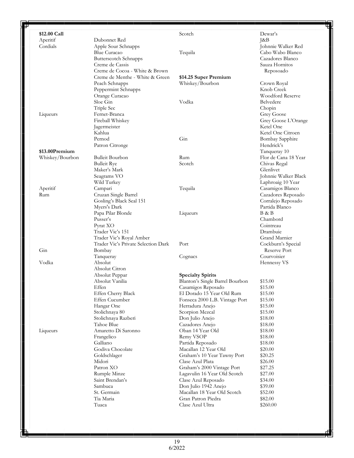| \$12.00 Call    |                                     | Scotch                          | Dewar's                       |
|-----------------|-------------------------------------|---------------------------------|-------------------------------|
| Aperitif        | Dubonnet Red                        |                                 | $\lceil \& \mathrm{B} \rceil$ |
| Cordials        | Apple Sour Schnapps                 |                                 | Johnnie Walker Red            |
|                 | Blue Curacao                        | Tequila                         | Cabo Wabo Blanco              |
|                 | <b>Butterscotch Schnapps</b>        |                                 | Cazadores Blanco              |
|                 | Creme de Cassis                     |                                 | Sauza Hornitos                |
|                 | Creme de Cocoa - White & Brown      |                                 | Reposoado                     |
|                 | Creme de Menthe - White & Green     | \$14.25 Super Premium           |                               |
|                 | Peach Schnapps                      | Whiskey/Bourbon                 | Crown Royal                   |
|                 | Peppermint Schnapps                 |                                 | Knob Creek                    |
|                 | Orange Curacao                      |                                 | Woodford Reserve              |
|                 | Sloe Gin                            | Vodka                           | Belvedere                     |
|                 | Triple Sec                          |                                 | Chopin                        |
| Liqueurs        | Fernet-Branca                       |                                 | Grey Goose                    |
|                 | Fireball Whiskey                    |                                 | Grey Goose L'Orange           |
|                 | Jagermeister                        |                                 | Ketel One                     |
|                 | Kahlua                              |                                 | Ketel One Citroen             |
|                 | Pernod                              | Gin                             | Bombay Sapphire               |
|                 | Patron Citronge                     |                                 | Hendrick's                    |
| \$13.00Premium  |                                     |                                 | Tanqueray 10                  |
| Whiskey/Bourbon | <b>Bulleit Bourbon</b>              | Rum                             | Flor de Cana 18 Year          |
|                 | <b>Bulleit Rye</b>                  | Scotch                          | Chivas Regal                  |
|                 | Maker's Mark                        |                                 | Glenlivet                     |
|                 | Seagrams VO                         |                                 | Johnnie Walker Black          |
|                 | Wild Turkey                         |                                 | Laphroaig 10 Year             |
| Aperitif        | Campari                             | Tequila                         | Casamigos Blanco              |
| Rum             | Cruzan Single Barrel                |                                 | Cazadores Reposado            |
|                 | Gosling's Black Seal 151            |                                 | Corralejo Reposado            |
|                 | Myers's Dark                        |                                 | Partida Blanco                |
|                 | Papa Pilar Blonde                   |                                 | B & B                         |
|                 | Pusser's                            | Liqueurs                        | Chambord                      |
|                 |                                     |                                 | Cointreau                     |
|                 | Pyrat XO                            |                                 |                               |
|                 | Trader Vic's 151                    |                                 | Drambuie                      |
|                 | Trader Vic's Royal Amber            |                                 | Grand Marnier                 |
|                 | Trader Vic's Private Selection Dark | Port                            | Cockburn's Special            |
| Gin             | Bombay                              |                                 | Reserve Port                  |
|                 | Tanqueray                           | Cognacs                         | Courvoisier                   |
| Vodka           | Absolut                             |                                 | Hennessy VS                   |
|                 | Absolut Citron                      |                                 |                               |
|                 | Absolut Peppar                      | <b>Specialty Spirits</b>        |                               |
|                 | Absolut Vanilia                     | Blanton's Single Barrel Bourbon | \$15.00                       |
|                 | Effen                               | Casamigos Reposado              | \$15.00                       |
|                 | Effen Cherry Black                  | El Dorado 15 Year Old Rum       | \$15.00                       |
|                 | Effen Cucumber                      | Fonseca 2000 L.B. Vintage Port  | \$15.00                       |
|                 | Hangar One                          | Herradura Anejo                 | \$15.00                       |
|                 | Stolichnaya 80                      | Scorpion Mezcal                 | \$15.00                       |
|                 | Stolichnaya Razberi                 | Don Julio Anejo                 | \$18.00                       |
|                 | Tahoe Blue                          | Cazadores Anejo                 | \$18.00                       |
| Liqueurs        | Amaretto Di Saronno                 | Oban 14 Year Old                | \$18.00                       |
|                 | Frangelico                          | Remy VSOP                       | \$18.00                       |
|                 | Galliano                            | Partida Reposado                | \$18.00                       |
|                 | Godiva Chocolate                    | Macallan 12 Year Old            | \$20.00                       |
|                 | Goldschlager                        | Graham's 10 Year Tawny Port     | \$20.25                       |
|                 | Midori                              | Clase Azul Plata                | \$26.00                       |
|                 | Patron XO                           | Graham's 2000 Vintage Port      | \$27.25                       |
|                 | Rumple Minze                        | Lagavulin 16 Year Old Scotch    | \$27.00                       |
|                 | Saint Brendan's                     | Clase Azul Reposado             | \$34.00                       |
|                 | Sambuca                             | Don Julio 1942 Anejo            | \$39.00                       |
|                 | St. Germain                         | Macallan 18 Year Old Scotch     | \$52.00                       |
|                 | Tia Maria                           | Gran Patron Piedra              | \$82.00                       |
|                 | Tuaca                               | Clase Azul Ultra                | \$260.00                      |
|                 |                                     |                                 |                               |

F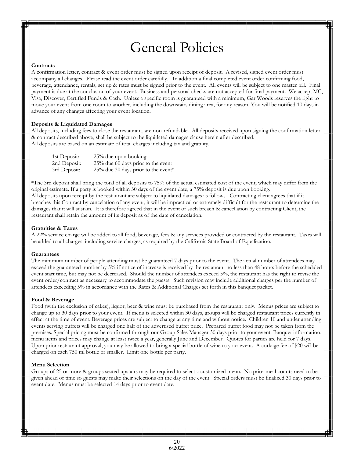# General Policies

#### **Contracts**

A confirmation letter, contract & event order must be signed upon receipt of deposit. A revised, signed event order must accompany all changes. Please read the event order carefully. In addition a final completed event order confirming food, beverage, attendance, rentals, set up & rates must be signed prior to the event. All events will be subject to one master bill. Final payment is due at the conclusion of your event. Business and personal checks are not accepted for final payment. We accept MC, Visa, Discover, Certified Funds & Cash. Unless a specific room is guaranteed with a minimum, Gar Woods reserves the right to move your event from one room to another, including the downstairs dining area, for any reason. You will be notified 10 days in advance of any changes affecting your event location.

#### **Deposits & Liquidated Damages**

All deposits, including fees to close the restaurant, are non-refundable. All deposits received upon signing the confirmation letter & contract described above, shall be subject to the liquidated damages clause herein after described. All deposits are based on an estimate of total charges including tax and gratuity.

| 1st Deposit: | 25% due upon booking                  |
|--------------|---------------------------------------|
| 2nd Deposit: | $25\%$ due 60 days prior to the event |
| 3rd Deposit: | 25% due 30 days prior to the event*   |

\*The 3rd deposit shall bring the total of all deposits to 75% of the actual estimated cost of the event, which may differ from the original estimate. If a party is booked within 30 days of the event date, a 75% deposit is due upon booking. All deposits upon receipt by the restaurant are subject to liquidated damages as follows. Contracting client agrees that if it breaches this Contract by cancelation of any event, it will be impractical or extremely difficult for the restaurant to determine the damages that it will sustain. It is therefore agreed that in the event of such breach & cancellation by contracting Client, the restaurant shall retain the amount of its deposit as of the date of cancelation.

#### **Gratuities & Taxes**

A 22% service charge will be added to all food, beverage, fees & any services provided or contracted by the restaurant. Taxes will be added to all charges, including service charges, as required by the California State Board of Equalization.

#### **Guarantees**

The minimum number of people attending must be guaranteed 7 days prior to the event. The actual number of attendees may exceed the guaranteed number by 5% if notice of increase is received by the restaurant no less than 48 hours before the scheduled event start time, but may not be decreased. Should the number of attendees exceed 5%, the restaurant has the right to revise the event order/contract as necessary to accommodate the guests. Such revision may include additional charges per the number of attendees exceeding 5% in accordance with the Rates & Additional Charges set forth in this banquet packet.

#### **Food & Beverage**

Food (with the exclusion of cakes), liquor, beer & wine must be purchased from the restaurant only. Menus prices are subject to change up to 30 days prior to your event. If menu is selected within 30 days, groups will be charged restaurant prices currently in effect at the time of event. Beverage prices are subject to change at any time and without notice. Children 10 and under attending events serving buffets will be charged one half of the advertised buffet price. Prepared buffet food may not be taken from the premises. Special pricing must be confirmed through our Group Sales Manager 30 days prior to your event. Banquet information, menu items and prices may change at least twice a year, generally June and December. Quotes for parties are held for 7 days. Upon prior restaurant approval, you may be allowed to bring a special bottle of wine to your event. A corkage fee of \$20 will be charged on each 750 ml bottle or smaller. Limit one bottle per party.

#### **Menu Selection**

Groups of 25 or more & groups seated upstairs may be required to select a customized menu. No prior meal counts need to be given ahead of time so guests may make their selections on the day of the event. Special orders must be finalized 30 days prior to event date. Menus must be selected 14 days prior to event date.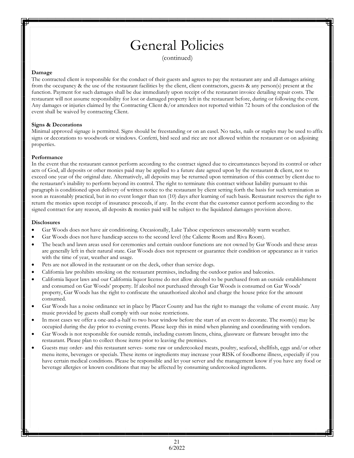# General Policies

(continued)

#### **Damage**

The contracted client is responsible for the conduct of their guests and agrees to pay the restaurant any and all damages arising from the occupancy & the use of the restaurant facilities by the client, client contractors, guests & any person(s) present at the function. Payment for such damages shall be due immediately upon receipt of the restaurant invoice detailing repair costs. The restaurant will not assume responsibility for lost or damaged property left in the restaurant before, during or following the event. Any damages or injuries claimed by the Contracting Client &/or attendees not reported within 72 hours of the conclusion of the event shall be waived by contracting Client.

#### **Signs & Decorations**

Minimal approved signage is permitted. Signs should be freestanding or on an easel. No tacks, nails or staples may be used to affix signs or decorations to woodwork or windows. Confetti, bird seed and rice are not allowed within the restaurant or on adjoining properties.

#### **Performance**

In the event that the restaurant cannot perform according to the contract signed due to circumstances beyond its control or other acts of God, all deposits or other monies paid may be applied to a future date agreed upon by the restaurant & client, not to exceed one year of the original date. Alternatively, all deposits may be returned upon termination of this contract by client due to the restaurant's inability to perform beyond its control. The right to terminate this contract without liability pursuant to this paragraph is conditioned upon delivery of written notice to the restaurant by client setting forth the basis for such termination as soon as reasonably practical, but in no event longer than ten (10) days after learning of such basis. Restaurant reserves the right to return the monies upon receipt of insurance proceeds, if any. In the event that the customer cannot perform according to the signed contract for any reason, all deposits & monies paid will be subject to the liquidated damages provision above.

#### **Disclosures**

- Gar Woods does not have air conditioning. Occasionally, Lake Tahoe experiences unseasonably warm weather.
- Gar Woods does not have handicap access to the second level (the Caliente Room and Riva Room).
- The beach and lawn areas used for ceremonies and certain outdoor functions are not owned by Gar Woods and these areas are generally left in their natural state. Gar Woods does not represent or guarantee their condition or appearance as it varies with the time of year, weather and usage.
- Pets are not allowed in the restaurant or on the deck, other than service dogs.
- California law prohibits smoking on the restaurant premises, including the outdoor patios and balconies.
- California liquor laws and our California liquor license do not allow alcohol to be purchased from an outside establishment and consumed on Gar Woods' property. If alcohol not purchased through Gar Woods is consumed on Gar Woods' property, Gar Woods has the right to confiscate the unauthorized alcohol and charge the house price for the amount consumed.
- Gar Woods has a noise ordinance set in place by Placer County and has the right to manage the volume of event music. Any music provided by guests shall comply with our noise restrictions.
- In most cases we offer a one-and-a-half to two hour window before the start of an event to decorate. The room(s) may be occupied during the day prior to evening events. Please keep this in mind when planning and coordinating with vendors.
- Gar Woods is not responsible for outside rentals, including custom linens, china, glassware or flatware brought into the restaurant. Please plan to collect those items prior to leaving the premises.
- Guests may order- and this restaurant serves- some raw or undercooked meats, poultry, seafood, shellfish, eggs and/or other menu items, beverages or specials. These items or ingredients may increase your RISK of foodborne illness, especially if you have certain medical conditions. Please be responsible and let your server and the management know if you have any food or beverage allergies or known conditions that may be affected by consuming undercooked ingredients.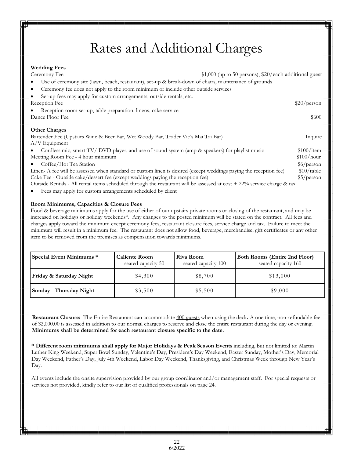# Rates and Additional Charges

| <b>Wedding Fees</b>                                                                                                        |                                                        |                      |
|----------------------------------------------------------------------------------------------------------------------------|--------------------------------------------------------|----------------------|
| Ceremony Fee                                                                                                               | \$1,000 (up to 50 persons), \$20/each additional guest |                      |
| Use of ceremony site (lawn, beach, restaurant), set-up & break-down of chairs, maintenance of grounds<br>٠                 |                                                        |                      |
| Ceremony fee does not apply to the room minimum or include other outside services<br>$\bullet$                             |                                                        |                      |
| Set-up fees may apply for custom arrangements, outside rentals, etc.<br>٠                                                  |                                                        |                      |
| Reception Fee                                                                                                              |                                                        | \$20/person          |
| Reception room set-up, table preparation, linens, cake service                                                             |                                                        |                      |
| Dance Floor Fee                                                                                                            |                                                        | \$600                |
| <b>Other Charges</b>                                                                                                       |                                                        |                      |
| Bartender Fee (Upstairs Wine & Beer Bar, Wet Woody Bar, Trader Vic's Mai Tai Bar)                                          |                                                        | Inquire              |
| $A/V$ Equipment                                                                                                            |                                                        |                      |
| Cordless mic, smart TV/DVD player, and use of sound system (amp & speakers) for playlist music                             |                                                        | \$100/item           |
| Meeting Room Fee - 4 hour minimum                                                                                          |                                                        | \$100/hour           |
| Coffee/Hot Tea Station                                                                                                     |                                                        | $\frac{\sqrt{6}}{2}$ |
| Linen-A fee will be assessed when standard or custom linen is desired (except weddings paying the reception fee)           |                                                        | \$10/table           |
| Cake Fee - Outside cake/dessert fee (except weddings paying the reception fee)                                             |                                                        | \$5/person           |
| Outside Rentals - All rental items scheduled through the restaurant will be assessed at $cost + 22\%$ service charge & tax |                                                        |                      |
|                                                                                                                            |                                                        |                      |

Fees may apply for custom arrangements scheduled by client

#### **Room Minimums, Capacities & Closure Fees**

Food & beverage minimums apply for the use of either of our upstairs private rooms or closing of the restaurant, and may be increased on holidays or holiday weekends\*. Any changes to the posted minimum will be stated on the contract. All fees and charges apply toward the minimum except ceremony fees, restaurant closure fees, service charge and tax. Failure to meet the minimum will result in a minimum fee. The restaurant does not allow food, beverage, merchandise, gift certificates or any other item to be removed from the premises as compensation towards minimums.

| Special Event Minimums * | <b>Caliente Room</b><br>seated capacity 50 | Riva Room<br>seated capacity 100 | <b>Both Rooms (Entire 2nd Floor)</b><br>seated capacity 160 |
|--------------------------|--------------------------------------------|----------------------------------|-------------------------------------------------------------|
| Friday & Saturday Night  | \$4.300                                    | \$8,700                          | \$13,000                                                    |
| Sunday - Thursday Night  | \$3,500                                    | \$5,500                          | \$9,000                                                     |

**Restaurant Closure:** The Entire Restaurant can accommodate 400 guests when using the deck**.** A one time, non-refundable fee of \$2,000.00 is assessed in addition to our normal charges to reserve and close the entire restaurant during the day or evening. **Minimums shall be determined for each restaurant closure specific to the date.**

**\* Different room minimums shall apply for Major Holidays & Peak Season Events** including, but not limited to: Martin Luther King Weekend, Super Bowl Sunday, Valentine's Day, President's Day Weekend, Easter Sunday, Mother's Day, Memorial Day Weekend, Father's Day, July 4th Weekend, Labor Day Weekend, Thanksgiving, and Christmas Week through New Year's Day.

All events include the onsite supervision provided by our group coordinator and/or management staff. For special requests or services not provided, kindly refer to our list of qualified professionals on page 24.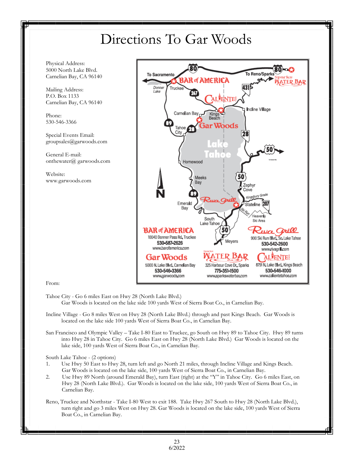# Directions To Gar Woods

Physical Address: 5000 North Lake Blvd. Carnelian Bay, CA 96140

Mailing Address: P.O. Box 1133 Carnelian Bay, CA 96140

Phone: 530-546-3366

Special Events Email: groupsales@garwoods.com

General E-mail: onthewater@ garwoods.com

Website: www.garwoods.com



From:

- Tahoe City Go 6 miles East on Hwy 28 (North Lake Blvd.) Gar Woods is located on the lake side 100 yards West of Sierra Boat Co., in Carnelian Bay.
- Incline Village Go 8 miles West on Hwy 28 (North Lake Blvd.) through and past Kings Beach. Gar Woods is located on the lake side 100 yards West of Sierra Boat Co., in Carnelian Bay.
- San Francisco and Olympic Valley Take I-80 East to Truckee, go South on Hwy 89 to Tahoe City. Hwy 89 turns into Hwy 28 in Tahoe City. Go 6 miles East on Hwy 28 (North Lake Blvd.) Gar Woods is located on the lake side, 100 yards West of Sierra Boat Co., in Carnelian Bay.

South Lake Tahoe - (2 options)

- 1. Use Hwy 50 East to Hwy 28, turn left and go North 21 miles, through Incline Village and Kings Beach. Gar Woods is located on the lake side, 100 yards West of Sierra Boat Co., in Carnelian Bay.
- 2. Use Hwy 89 North (around Emerald Bay), turn East (right) at the "Y" in Tahoe City. Go 6 miles East, on Hwy 28 (North Lake Blvd.). Gar Woods is located on the lake side, 100 yards West of Sierra Boat Co., in Carnelian Bay.
- Reno, Truckee and Northstar Take I-80 West to exit 188. Take Hwy 267 South to Hwy 28 (North Lake Blvd.), turn right and go 3 miles West on Hwy 28. Gar Woods is located on the lake side, 100 yards West of Sierra Boat Co., in Carnelian Bay.